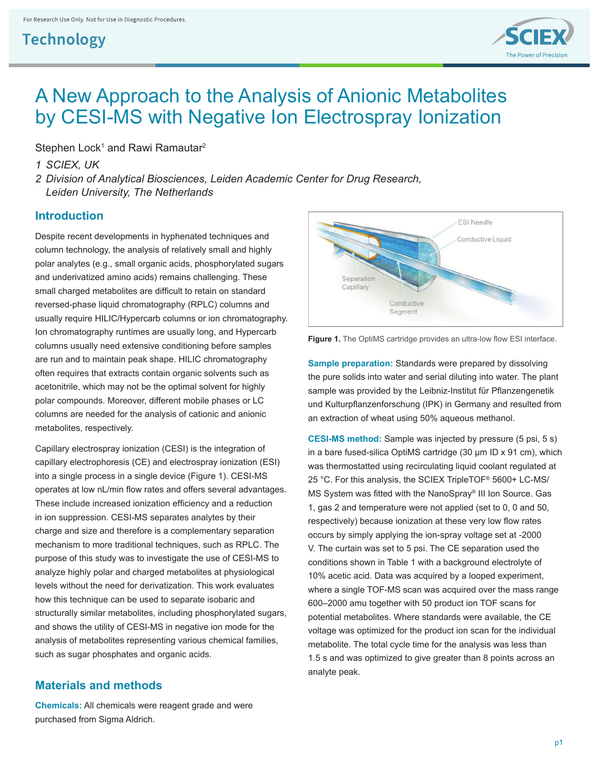

# A New Approach to the Analysis of Anionic Metabolites by CESI-MS with Negative Ion Electrospray Ionization

Stephen Lock<sup>1</sup> and Rawi Ramautar<sup>2</sup>

*1 SCIEX, UK*

*2 Division of Analytical Biosciences, Leiden Academic Center for Drug Research, Leiden University, The Netherlands*

### **Introduction**

Despite recent developments in hyphenated techniques and column technology, the analysis of relatively small and highly polar analytes (e.g., small organic acids, phosphorylated sugars and underivatized amino acids) remains challenging. These small charged metabolites are difficult to retain on standard reversed-phase liquid chromatography (RPLC) columns and usually require HILIC/Hypercarb columns or ion chromatography. Ion chromatography runtimes are usually long, and Hypercarb columns usually need extensive conditioning before samples are run and to maintain peak shape. HILIC chromatography often requires that extracts contain organic solvents such as acetonitrile, which may not be the optimal solvent for highly polar compounds. Moreover, different mobile phases or LC columns are needed for the analysis of cationic and anionic metabolites, respectively.

Capillary electrospray ionization (CESI) is the integration of capillary electrophoresis (CE) and electrospray ionization (ESI) into a single process in a single device (Figure 1). CESI-MS operates at low nL/min flow rates and offers several advantages. These include increased ionization efficiency and a reduction in ion suppression. CESI-MS separates analytes by their charge and size and therefore is a complementary separation mechanism to more traditional techniques, such as RPLC. The purpose of this study was to investigate the use of CESI-MS to analyze highly polar and charged metabolites at physiological levels without the need for derivatization. This work evaluates how this technique can be used to separate isobaric and structurally similar metabolites, including phosphorylated sugars, and shows the utility of CESI-MS in negative ion mode for the analysis of metabolites representing various chemical families, such as sugar phosphates and organic acids.

### **Materials and methods**

**Chemicals:** All chemicals were reagent grade and were purchased from Sigma Aldrich.



**Figure 1.** The OptiMS cartridge provides an ultra-low flow ESI interface.

**Sample preparation:** Standards were prepared by dissolving the pure solids into water and serial diluting into water. The plant sample was provided by the Leibniz-Institut für Pflanzengenetik und Kulturpflanzenforschung (IPK) in Germany and resulted from an extraction of wheat using 50% aqueous methanol.

**CESI-MS method:** Sample was injected by pressure (5 psi, 5 s) in a bare fused-silica OptiMS cartridge (30 μm ID x 91 cm), which was thermostatted using recirculating liquid coolant regulated at 25 °C. For this analysis, the SCIEX TripleTOF® 5600+ LC-MS/ MS System was fitted with the NanoSpray® III Ion Source. Gas 1, gas 2 and temperature were not applied (set to 0, 0 and 50, respectively) because ionization at these very low flow rates occurs by simply applying the ion-spray voltage set at -2000 V. The curtain was set to 5 psi. The CE separation used the conditions shown in Table 1 with a background electrolyte of 10% acetic acid. Data was acquired by a looped experiment, where a single TOF-MS scan was acquired over the mass range 600–2000 amu together with 50 product ion TOF scans for potential metabolites. Where standards were available, the CE voltage was optimized for the product ion scan for the individual metabolite. The total cycle time for the analysis was less than 1.5 s and was optimized to give greater than 8 points across an analyte peak.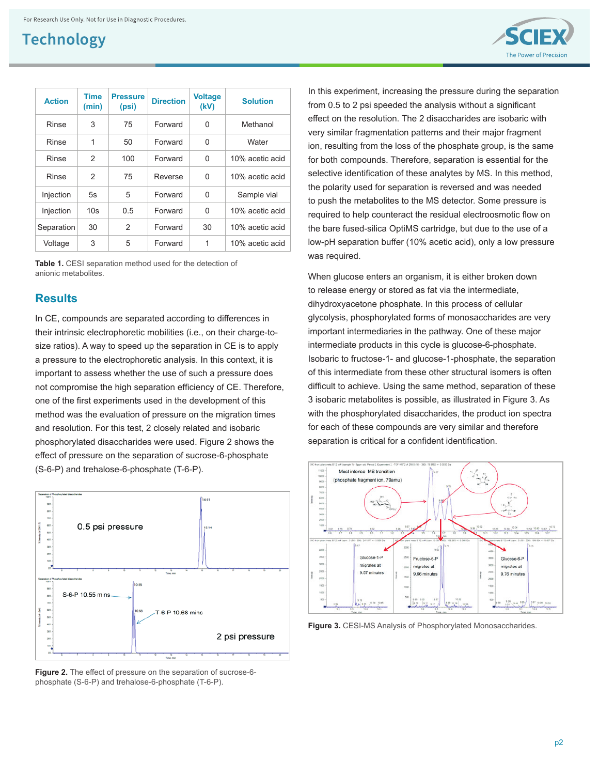

**Table 1.** CESI separation method used for the detection of anionic metabolites.

#### **Results**

In CE, compounds are separated according to differences in their intrinsic electrophoretic mobilities (i.e., on their charge-tosize ratios). A way to speed up the separation in CE is to apply a pressure to the electrophoretic analysis. In this context, it is important to assess whether the use of such a pressure does not compromise the high separation efficiency of CE. Therefore, one of the first experiments used in the development of this method was the evaluation of pressure on the migration times and resolution. For this test, 2 closely related and isobaric phosphorylated disaccharides were used. Figure 2 shows the effect of pressure on the separation of sucrose-6-phosphate (S-6-P) and trehalose-6-phosphate (T-6-P).



**Figure 2.** The effect of pressure on the separation of sucrose-6 phosphate (S-6-P) and trehalose-6-phosphate (T-6-P).

In this experiment, increasing the pressure during the separation from 0.5 to 2 psi speeded the analysis without a significant effect on the resolution. The 2 disaccharides are isobaric with very similar fragmentation patterns and their major fragment ion, resulting from the loss of the phosphate group, is the same for both compounds. Therefore, separation is essential for the selective identification of these analytes by MS. In this method, the polarity used for separation is reversed and was needed to push the metabolites to the MS detector. Some pressure is required to help counteract the residual electroosmotic flow on the bare fused-silica OptiMS cartridge, but due to the use of a low-pH separation buffer (10% acetic acid), only a low pressure was required.

When glucose enters an organism, it is either broken down to release energy or stored as fat via the intermediate, dihydroxyacetone phosphate. In this process of cellular glycolysis, phosphorylated forms of monosaccharides are very important intermediaries in the pathway. One of these major intermediate products in this cycle is glucose-6-phosphate. Isobaric to fructose-1- and glucose-1-phosphate, the separation of this intermediate from these other structural isomers is often difficult to achieve. Using the same method, separation of these 3 isobaric metabolites is possible, as illustrated in Figure 3. As with the phosphorylated disaccharides, the product ion spectra for each of these compounds are very similar and therefore separation is critical for a confident identification.



**Figure 3.** CESI-MS Analysis of Phosphorylated Monosaccharides.

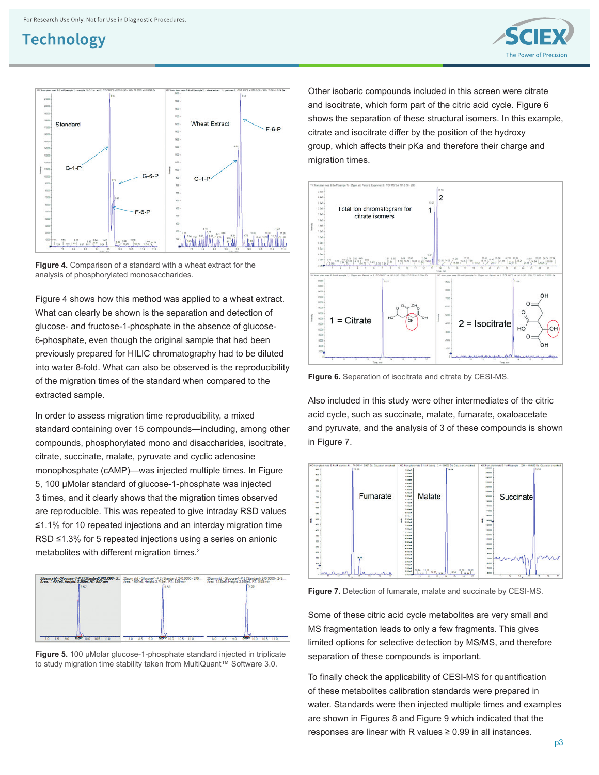



**Figure 4.** Comparison of a standard with a wheat extract for the analysis of phosphorylated monosaccharides.

Figure 4 shows how this method was applied to a wheat extract. What can clearly be shown is the separation and detection of glucose- and fructose-1-phosphate in the absence of glucose-6-phosphate, even though the original sample that had been previously prepared for HILIC chromatography had to be diluted into water 8-fold. What can also be observed is the reproducibility of the migration times of the standard when compared to the extracted sample.

In order to assess migration time reproducibility, a mixed standard containing over 15 compounds—including, among other compounds, phosphorylated mono and disaccharides, isocitrate, citrate, succinate, malate, pyruvate and cyclic adenosine monophosphate (cAMP)—was injected multiple times. In Figure 5, 100 μMolar standard of glucose-1-phosphate was injected 3 times, and it clearly shows that the migration times observed are reproducible. This was repeated to give intraday RSD values ≤1.1% for 10 repeated injections and an interday migration time RSD ≤1.3% for 5 repeated injections using a series on anionic metabolites with different migration times.<sup>2</sup>



**Figure 5.** 100 μMolar glucose-1-phosphate standard injected in triplicate to study migration time stability taken from MultiQuant™ Software 3.0.

Other isobaric compounds included in this screen were citrate and isocitrate, which form part of the citric acid cycle. Figure 6 shows the separation of these structural isomers. In this example, citrate and isocitrate differ by the position of the hydroxy group, which affects their pKa and therefore their charge and migration times.



**Figure 6.** Separation of isocitrate and citrate by CESI-MS.

Also included in this study were other intermediates of the citric acid cycle, such as succinate, malate, fumarate, oxaloacetate and pyruvate, and the analysis of 3 of these compounds is shown in Figure 7.



**Figure 7.** Detection of fumarate, malate and succinate by CESI-MS.

Some of these citric acid cycle metabolites are very small and MS fragmentation leads to only a few fragments. This gives limited options for selective detection by MS/MS, and therefore separation of these compounds is important.

To finally check the applicability of CESI-MS for quantification of these metabolites calibration standards were prepared in water. Standards were then injected multiple times and examples are shown in Figures 8 and Figure 9 which indicated that the responses are linear with R values ≥ 0.99 in all instances.